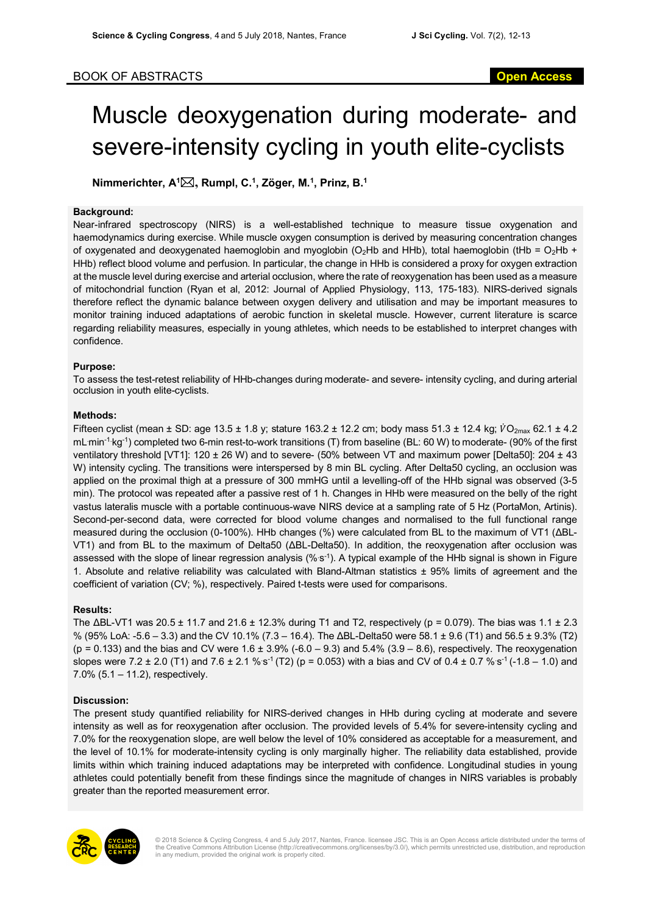# Muscle deoxygenation during moderate- and severe-intensity cycling in youth elite-cyclists

**Nimmerichter, A1** \***, Rumpl, C.1, Zöger, M.1 , Prinz, B.1**

### **Background:**

Near-infrared spectroscopy (NIRS) is a well-established technique to measure tissue oxygenation and haemodynamics during exercise. While muscle oxygen consumption is derived by measuring concentration changes of oxygenated and deoxygenated haemoglobin and myoglobin (O<sub>2</sub>Hb and HHb), total haemoglobin (tHb =  $O_2$ Hb + HHb) reflect blood volume and perfusion. In particular, the change in HHb is considered a proxy for oxygen extraction at the muscle level during exercise and arterial occlusion, where the rate of reoxygenation has been used as a measure of mitochondrial function (Ryan et al, 2012: Journal of Applied Physiology, 113, 175-183). NIRS-derived signals therefore reflect the dynamic balance between oxygen delivery and utilisation and may be important measures to monitor training induced adaptations of aerobic function in skeletal muscle. However, current literature is scarce regarding reliability measures, especially in young athletes, which needs to be established to interpret changes with confidence.

## **Purpose:**

To assess the test-retest reliability of HHb-changes during moderate- and severe- intensity cycling, and during arterial occlusion in youth elite-cyclists.

#### **Methods:**

Fifteen cyclist (mean  $\pm$  SD: age 13.5  $\pm$  1.8 y; stature 163.2  $\pm$  12.2 cm; body mass 51.3  $\pm$  12.4 kg;  $\dot{V}O_{2\text{max}}$  62.1  $\pm$  4.2 mLmin<sup>-1</sup> kg<sup>-1</sup>) completed two 6-min rest-to-work transitions (T) from baseline (BL: 60 W) to moderate- (90% of the first ventilatory threshold [VT1]: 120 ± 26 W) and to severe- (50% between VT and maximum power [Delta50]: 204 ± 43 W) intensity cycling. The transitions were interspersed by 8 min BL cycling. After Delta50 cycling, an occlusion was applied on the proximal thigh at a pressure of 300 mmHG until a levelling-off of the HHb signal was observed (3-5 min). The protocol was repeated after a passive rest of 1 h. Changes in HHb were measured on the belly of the right vastus lateralis muscle with a portable continuous-wave NIRS device at a sampling rate of 5 Hz (PortaMon, Artinis). Second-per-second data, were corrected for blood volume changes and normalised to the full functional range measured during the occlusion (0-100%). HHb changes (%) were calculated from BL to the maximum of VT1 (ΔBL-VT1) and from BL to the maximum of Delta50 (ΔBL-Delta50). In addition, the reoxygenation after occlusion was assessed with the slope of linear regression analysis (% s<sup>-1</sup>). A typical example of the HHb signal is shown in Figure 1. Absolute and relative reliability was calculated with Bland-Altman statistics ± 95% limits of agreement and the coefficient of variation (CV; %), respectively. Paired t-tests were used for comparisons.

#### **Results:**

The ΔBL-VT1 was 20.5 ± 11.7 and 21.6 ± 12.3% during T1 and T2, respectively (p = 0.079). The bias was 1.1 ± 2.3 % (95% LoA: -5.6 – 3.3) and the CV 10.1% (7.3 – 16.4). The ΔBL-Delta50 were 58.1 ± 9.6 (T1) and 56.5 ± 9.3% (T2)  $(p = 0.133)$  and the bias and CV were  $1.6 \pm 3.9\%$  (-6.0 – 9.3) and 5.4% (3.9 – 8.6), respectively. The reoxygenation slopes were 7.2 ± 2.0 (T1) and 7.6 ± 2.1 % s<sup>-1</sup> (T2) (p = 0.053) with a bias and CV of 0.4 ± 0.7 % s<sup>-1</sup> (-1.8 – 1.0) and 7.0% (5.1 – 11.2), respectively.

# **Discussion:**

The present study quantified reliability for NIRS-derived changes in HHb during cycling at moderate and severe intensity as well as for reoxygenation after occlusion. The provided levels of 5.4% for severe-intensity cycling and 7.0% for the reoxygenation slope, are well below the level of 10% considered as acceptable for a measurement, and the level of 10.1% for moderate-intensity cycling is only marginally higher. The reliability data established, provide limits within which training induced adaptations may be interpreted with confidence. Longitudinal studies in young athletes could potentially benefit from these findings since the magnitude of changes in NIRS variables is probably greater than the reported measurement error.



© 2018 Science & Cycling Congress, 4 and 5 July 2017, Nantes, France. licensee JSC. This is an Open Access article distributed under the terms of the Creative Commons Attribution License (http://creativecommons.org/licenses/by/3.0/), which permits unrestricted use, distribution, and reproduction in any medium, provided the original work is properly cited.